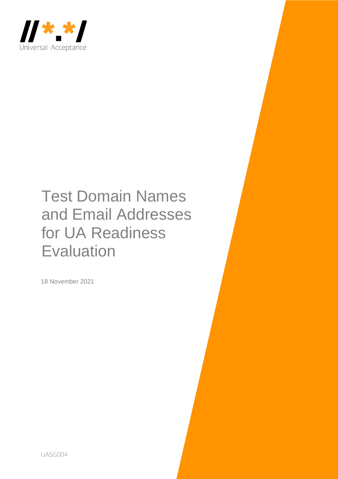

# Test Domain Names and Email Addresses for UA Readiness **Evaluation**

18 November 2021

UASG004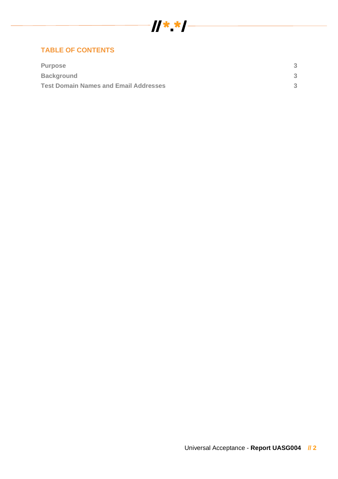

#### **TABLE OF CONTENTS**

| <b>Purpose</b>                               | ≏ |
|----------------------------------------------|---|
| <b>Background</b>                            | ್ |
| <b>Test Domain Names and Email Addresses</b> | ≏ |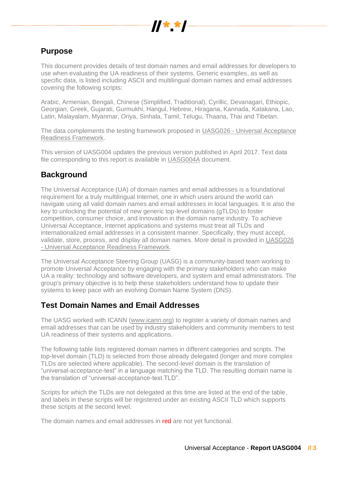

# **Purpose**

This document provides details of test domain names and email addresses for developers to use when evaluating the UA readiness of their systems. Generic examples, as well as specific data, is listed including ASCII and multilingual domain names and email addresses covering the following scripts:

Arabic, Armenian, Bengali, Chinese (Simplified, Traditional), Cyrillic, Devanagari, Ethiopic, Georgian, Greek, Gujarati, Gurmukhi, Hangul, Hebrew, Hiragana, Kannada, Katakana, Lao, Latin, Malayalam, Myanmar, Oriya, Sinhala, Tamil, Telugu, Thaana, Thai and Tibetan.

The data complements the testing framework proposed in UASG026 - [Universal Acceptance](https://uasg.tech/wp-content/uploads/documents/UASG026-en-digital.pdf)  [Readiness Framework.](https://uasg.tech/wp-content/uploads/documents/UASG026-en-digital.pdf)

This version of UASG004 updates the previous version published in April 2017. Text data file corresponding to this report is available in [UASG004A](https://uasg.tech/wp-content/uploads/2020/07/UASG004-en-digital.txt) document.

## **Background**

The Universal Acceptance (UA) of domain names and email addresses is a foundational requirement for a truly multilingual Internet, one in which users around the world can navigate using all valid domain names and email addresses in local languages. It is also the key to unlocking the potential of new generic top-level domains (gTLDs) to foster competition, consumer choice, and innovation in the domain name industry. To achieve Universal Acceptance, Internet applications and systems must treat all TLDs and internationalized email addresses in a consistent manner. Specifically, they must accept, validate, store, process, and display all domain names. More detail is provided in [UASG026](https://uasg.tech/wp-content/uploads/documents/UASG026-en-digital.pdf)  - [Universal Acceptance Readiness Framework.](https://uasg.tech/wp-content/uploads/documents/UASG026-en-digital.pdf)

The Universal Acceptance Steering Group (UASG) is a community-based team working to promote Universal Acceptance by engaging with the primary stakeholders who can make UA a reality: technology and software developers, and system and email administrators. The group's primary objective is to help these stakeholders understand how to update their systems to keep pace with an evolving Domain Name System (DNS).

### **Test Domain Names and Email Addresses**

The UASG worked with ICANN [\(www.icann.org\)](http://www.icann.org/) to register a variety of domain names and email addresses that can be used by industry stakeholders and community members to test UA readiness of their systems and applications.

The following table lists registered domain names in different categories and scripts. The top-level domain (TLD) is selected from those already delegated (longer and more complex TLDs are selected where applicable). The second-level domain is the translation of "universal-acceptance-test" in a language matching the TLD. The resulting domain name is the translation of "universal-acceptance-test.TLD".

Scripts for which the TLDs are not delegated at this time are listed at the end of the table, and labels in these scripts will be registered under an existing ASCII TLD which supports these scripts at the second level.

The domain names and email addresses in red are not vet functional.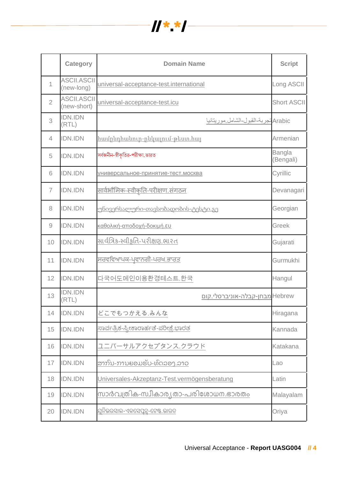

|                | <b>Category</b>                   | <b>Domain Name</b>                           | <b>Script</b>       |
|----------------|-----------------------------------|----------------------------------------------|---------------------|
| $\overline{1}$ | <b>ASCII.ASCII</b><br>(new-long)  | universal-acceptance-test.international      | Long ASCII          |
| $\overline{2}$ | <b>ASCII.ASCII</b><br>(new-short) | universal-acceptance-test.icu                | <b>Short ASCII</b>  |
| 3              | <b>IDN.IDN</b><br>(RTL)           | Arabic تجربة-القبول-الشامل موريتانيا         |                     |
| 4              | <b>IDN.IDN</b>                    | <u> համընդհանուր-ընկալում-թեստ.հայ</u>       | Armenian            |
| 5              | <b>IDN.IDN</b>                    | সর্বজনীন-স্বীকৃতির-পরীক্ষা.ভারত              | Bangla<br>(Bengali) |
| 6              | <b>IDN.IDN</b>                    | <u>универсальное-принятие-тест.москва</u>    | Cyrillic            |
| $\overline{7}$ | <b>IDN.IDN</b>                    | <u>सार्वभौमिक-स्वीकृति-परीक्षण संगठन</u>     | Devanagari          |
| 8              | <b>IDN.IDN</b>                    | <u>უნივერსალური-თავსობადობის-ტესტი.გე</u>    | Georgian            |
| 9              | <b>IDN.IDN</b>                    | <u>καθολική-αποδοχή-δοκιμή.ευ</u>            | Greek               |
| 10             | <b>IDN.IDN</b>                    | સાર્વત્રિક-સ્વીકૃતિ-પરીક્ષણ.ભારત             | Gujarati            |
| 11             | <b>IDN.IDN</b>                    | ਸਰਵਵਿਆਪਕ-ਪ੍ਰਵਾਨਗੀ-ਪਰਖ.ਭਾਰਤ                   | Gurmukhi            |
| 12             | <b>IDN.IDN</b>                    | 다국어도메인이용환경테스트.한국                             | Hangul              |
| 13             | <b>IDN.IDN</b><br>(RTL)           | Hebrew מבחן-קבלה-אוניברסלי.קום               |                     |
| 14             | <b>IDN.IDN</b>                    | どこでもつかえる.みんな                                 | Hiragana            |
| 15             | <b>IDN.IDN</b>                    | <u>ಸಾರ್ವತ್ರಿಕ-ಸ್ಕೀಕಾರಾರ್ಹತೆ-ಪರೀಕ್ಷೆ.ಭಾರತ</u> | Kannada             |
| 16             | <b>IDN.IDN</b>                    | ユニバーサルアクセプタンス.クラウド                           | Katakana            |
| 17             | <b>IDN.IDN</b>                    | <u>ສາກົນ-ການຍອມຮັບ-ທົດລອງ.ລາວ</u>            | Lao                 |
| 18             | <b>IDN.IDN</b>                    | Universales-Akzeptanz-Test.vermögensberatung | Latin               |
| 19             | <b>IDN.IDN</b>                    | <u>സാർവത്രിക-സ്വീകാര്യതാ-പരിശോധന.ഭാരതം</u>   | Malayalam           |
| 20             | <b>IDN.IDN</b>                    | ଯୁନିଭରସାଲ-ଏକସେପୁନ୍ନ-ଟେଷ୍ଟ.ଭାରତ               | Oriya               |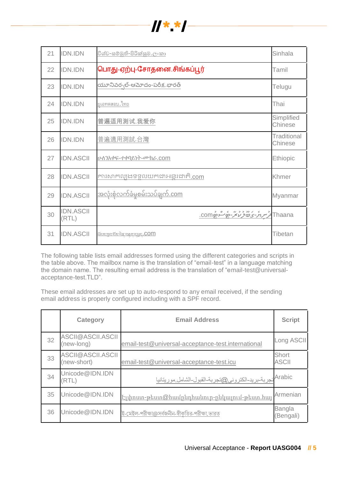

| 21 | <b>IDN.IDN</b>            | <u>විශ්ව-සම්මුති-පිරික්සුම.ලංකා</u>                      | Sinhala                       |
|----|---------------------------|----------------------------------------------------------|-------------------------------|
| 22 | <b>IDN.IDN</b>            | பொது-ஏற்பு-சோதனை.சிங்கப்பூர்                             | Tamil                         |
| 23 | <b>IDN.IDN</b>            | యూనివర్సల్-ఆమోదం-పరీక్ష.భారత్                            | Telugu                        |
| 24 | <b>IDN.IDN</b>            | <u>ยูเอทดสอบ ไทย</u>                                     | Thai                          |
| 25 | <b>IDN.IDN</b>            | 普遍适用测试.我爱你                                               | Simplified<br>Chinese         |
| 26 | <b>IDN.IDN</b>            | 普遍適用測試.台灣                                                | <b>Traditional</b><br>Chinese |
| 27 | <b>IDN.ASCII</b>          | ሁለንአቀፍ-ተቀባይነት-ሙከራ.com                                    | <b>Ethiopic</b>               |
| 28 | <b>IDN.ASCII</b>          | ការសាកល្បងទទួលយកដាអន្ទរដាកិ.com                          | Khmer                         |
| 29 | <b>IDN.ASCII</b>          | <u>အလုံးစုံလက်ခံမှုစမ်းသပ်ချက်.com</u>                   | Myanmar                       |
| 30 | <b>IDN.ASCII</b><br>(RTL) | د پروروسر پروروسی<br>تر <i>سر م-ی ۱۵ ژبانغ – پ</i> روCOM | Thaana                        |
| 31 | <b>IDN.ASCII</b>          | <u>ŭsarga šarag asarsas, com</u>                         | Tibetan                       |

The following table lists email addresses formed using the different categories and scripts in the table above. The mailbox name is the translation of "email-test" in a language matching the domain name. The resulting email address is the translation of "email-test@universalacceptance-test.TLD".

These email addresses are set up to auto-respond to any email received, if the sending email address is properly configured including with a SPF record.

|    | <b>Category</b>                  | <b>Email Address</b>                                     | <b>Script</b>              |
|----|----------------------------------|----------------------------------------------------------|----------------------------|
| 32 | ASCII@ASCII.ASCII<br>(new-long)  | email-test@universal-acceptance-test.international       | Long ASCII                 |
| 33 | ASCII@ASCII.ASCII<br>(new-short) | email-test@universal-acceptance-test.icu                 | Short<br><b>ASCII</b>      |
| 34 | Unicode@IDN.IDN<br>(RTL)         | Arabic تجربة-بريد-الكتروني@تجربة-القبول-الشامل موريتانيا |                            |
| 35 | Unicode@IDN.IDN                  | <u> Էլփոստ-թեստ@համրնդհանուր-ընկալում-թեստ.հայ</u>       | Armenian                   |
| 36 | Unicode@IDN.IDN                  | ই-মেইল-পরীক্ষা@সর্বজনীন-স্বীকৃতির-পরীক্ষা.ভারত           | <b>Bangla</b><br>(Bengali) |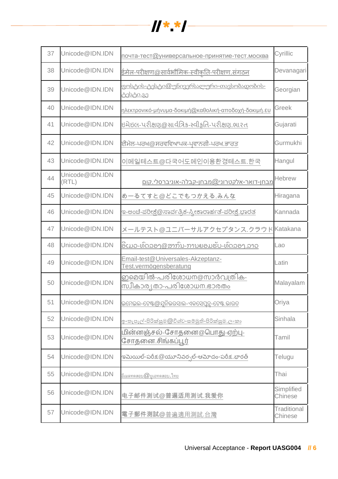

| 37 | Unicode@IDN.IDN          | почта-тест@универсальное-принятие-тест.москва                     | Cyrillic                      |
|----|--------------------------|-------------------------------------------------------------------|-------------------------------|
| 38 | Unicode@IDN.IDN          | <u>ईमेल-परीक्षण@सार्वभौमिक-स्वीकति-परीक्षण.संगठन</u>              | Devanagari                    |
| 39 | Unicode@IDN.IDN          | <u>ფოსტის-ტესტი@უნივერსალური-თავსობადობის-</u><br><u>ტესტი.გე</u> | Georgian                      |
| 40 | Unicode@IDN.IDN          | <u>ηλεκτρονικό-μήνυμα-δοκιμή@καθολική-αποδοχή-δοκιμή.ευ</u>       | Greek                         |
| 41 | Unicode@IDN.IDN          | ઇમેઇલ-પરીક્ષણ@સાર્વત્રિક-સ્વીકૃતિ-પરીક્ષણ.ભારત                    | Gujarati                      |
| 42 | Unicode@IDN.IDN          | ਈਮੇਲ-ਪਰਖ@ਸਰਵਵਿਆਪਕ-ਪ੍ਰਵਾਨਗੀ-ਪਰਖ.ਭਾਰਤ                               | Gurmukhi                      |
| 43 | Unicode@IDN.IDN          | 이메일테스트@다국어도메인이용환경테스트.한국                                           | Hangul                        |
| 44 | Unicode@IDN.IDN<br>(RTL) | <u>מבחן-דואר-אלקטרוני@מבחן-קבלה-אוניברסלי.קום</u>                 | <b>Hebrew</b>                 |
| 45 | Unicode@IDN.IDN          | めーるてすと@どこでもつかえる.みんな                                               | Hiragana                      |
| 46 | Unicode@IDN.IDN          | <u>ಇ-ಅಂಚೆ-ಪರೀಕ್ಷೆ@ಸಾರ್ವತ್ರಿಕ-ಸ್ಕೀಕಾರಾರ್ಹತೆ-ಪರೀಕ್ಷೆ.ಭಾರತ</u>       | Kannada                       |
| 47 | Unicode@IDN.IDN          | メールテスト@ユニバーサルアクセプタンス.クラウド                                         | Katakana                      |
| 48 | Unicode@IDN.IDN          | <u>ອີເມວ-ທົດລອງ@ສາກົນ-ການຍອມຮັບ-ທົດລອງ.ລາວ</u>                    | Lao                           |
| 49 | Unicode@IDN.IDN          | Email-test@Universales-Akzeptanz-<br>Test.vermögensberatung       | Latin                         |
| 50 | Unicode@IDN.IDN          | ഇമെയിൽ-പരിശോധന@സാർവത്രിക-<br><u>സ്വീകാര്യതാ-പരിശോധന.ഭാരതം</u>     | Malayalam                     |
| 51 | Unicode@IDN.IDN          | ଇମେଇଲ-ଟେଷ୍ଟ <i>@ଯୁ</i> ନିଭରସାଲ-ଏକସେପ୍ରନ୍ସ-ଟେଷ୍ଟ.ଭାରତ              | Oriya                         |
| 52 | Unicode@IDN.IDN          | <u>ඉ-තැපැල්-පිරික්සුම @විශ්ව-සම්මුති-පිරික්සුම.ලංකා</u>           | Sinhala                       |
| 53 | Unicode@IDN.IDN          | <u> மின்னஞ்சல்-சோதனை@பொது-ஏற்பு-</u><br><u>சோதனை.சிங்கப்பூர்</u>  | Tamil                         |
| 54 | Unicode@IDN.IDN          | ఇమెయిల్-పరీక్ష @యూనివర్సల్-ఆమోదం-పరీక్ష.భారత్                     | Telugu                        |
| 55 | Unicode@IDN.IDN          | <u>อีเมลทดสอบ @ ยูเอทดสอบ.ไทย</u>                                 | Thai                          |
| 56 | Unicode@IDN.IDN          | 电子邮件测试@普遍适用测试.我爱你                                                 | Simplified<br>Chinese         |
| 57 | Unicode@IDN.IDN          | 電子郵件測試@普遍適用測試.台灣                                                  | <b>Traditional</b><br>Chinese |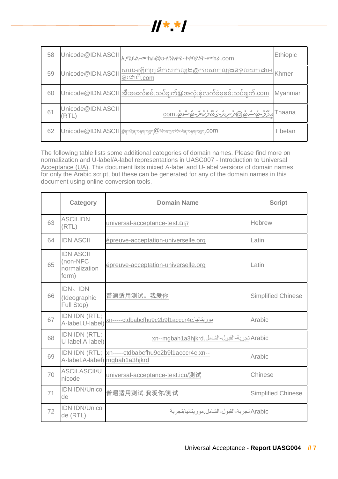

| 58 | Unicode@IDN.ASCII          | ኢሜይል-ሙከራ@ <u>ሁለንአቀፍ-ተቀባይነት-ሙከራ.com</u>                                             | Ethiopic       |
|----|----------------------------|------------------------------------------------------------------------------------|----------------|
| 59 | Unicode@IDN.ASCII          | សារអេឡិកត្រូនិកសាកល្បង@ការសាកល្បងទទួលយកជាអ<br>នាដាកិ.com                           |                |
| 60 |                            | Unicode@IDN.ASCII အီးမေးလ်စမ်းသပ်ချက်@အလုံးစုံလက်ခံမစမ်းသပ်ချက်.com                | <b>Myanmar</b> |
| 61 | Unicode@IDN.ASCII<br>(RTL) | <u>com. مَامْ وَمِنْ (@كور مِرْمْ-ي مَامْرُ مِنْ مِنْ مِنْ وَمِنْ الْمَرْمْ) .</u> | Thaana         |
| 62 |                            | Unicode@IDN.ASCII # England Manager Est @ Manager Est Agric Sequence Com           | Tibetan        |

The following table lists some additional categories of domain names. Please find more on normalization and U-label/A-label representations in UASG007 - [Introduction to Universal](https://uasg.tech/wp-content/uploads/documents/UASG007-en-digital.pdf)  [Acceptance \(UA\).](https://uasg.tech/wp-content/uploads/documents/UASG007-en-digital.pdf) This document lists mixed A-label and U-label versions of domain names for only the Arabic script, but these can be generated for any of the domain names in this document using online conversion tools.

|    | <b>Category</b>                                        | <b>Domain Name</b>                                                                   | <b>Script</b>             |
|----|--------------------------------------------------------|--------------------------------------------------------------------------------------|---------------------------|
| 63 | <b>ASCILIDN</b><br>(RTL)                               | universal-acceptance-test.                                                           | <b>Hebrew</b>             |
| 64 | <b>IDN.ASCII</b>                                       | épreuve-acceptation-universelle.org                                                  | Latin                     |
| 65 | <b>IDN.ASCII</b><br>(non-NFC<br>normalization<br>form) | épreuve-acceptation-universelle.org                                                  | Latin                     |
| 66 | IDN <sub>o</sub> IDN<br>(Ideographic<br>Full Stop)     | 普遍适用测试。我爱你                                                                           | <b>Simplified Chinese</b> |
| 67 | IDN.IDN (RTL;<br>A-label.U-label)                      | <u> موریتانیا.xn-----ctdbabcfhu9c2b9l1acccr4c</u>                                    | Arabic                    |
| 68 | IDN.IDN (RTL;<br>U-label.A-label)                      | Arabic تجربة-القبول-الشامل.xn--mgbah1a3hjkrd                                         |                           |
| 69 |                                                        | IDN.IDN (RTL; xn-----ctdbabcfhu9c2b9l1acccr4c.xn--<br>A-label.A-label) mgbah1a3hjkrd | Arabic                    |
| 70 | <b>ASCII.ASCII/U</b><br>nicode                         | universal-acceptance-test.icu/测试                                                     | Chinese                   |
| 71 | IDN.IDN/Unico<br>de                                    | 普遍适用测试.我爱你/测试                                                                        | <b>Simplified Chinese</b> |
| 72 | IDN.IDN/Unico<br>de (RTL)                              | Arabic تجربة-القبول-الشامل موريتانيا/تجربة                                           |                           |